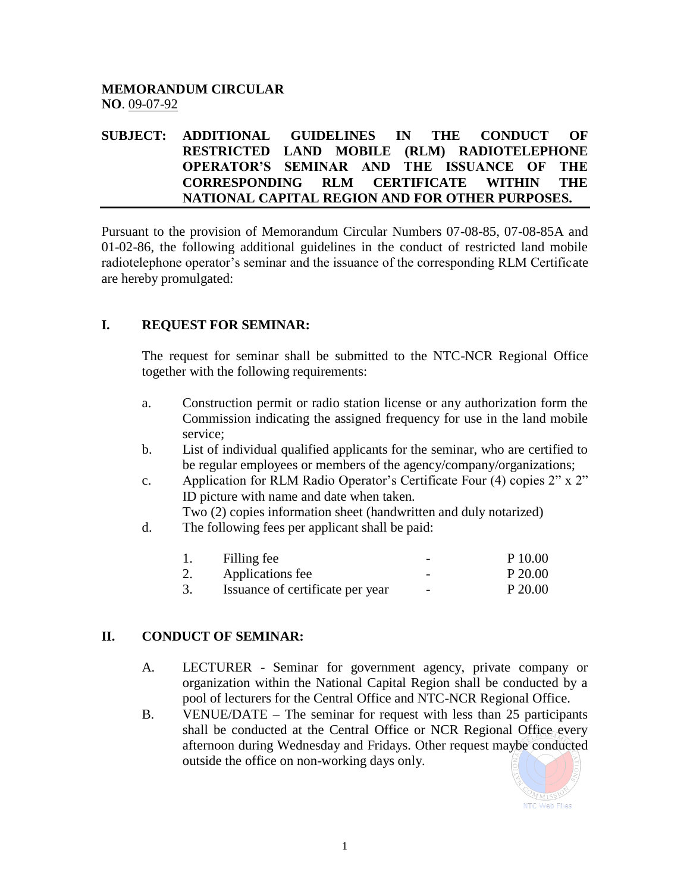# **MEMORANDUM CIRCULAR NO**. 09-07-92

### **SUBJECT: ADDITIONAL GUIDELINES IN THE CONDUCT OF RESTRICTED LAND MOBILE (RLM) RADIOTELEPHONE OPERATOR'S SEMINAR AND THE ISSUANCE OF THE CORRESPONDING RLM CERTIFICATE WITHIN THE NATIONAL CAPITAL REGION AND FOR OTHER PURPOSES.**

Pursuant to the provision of Memorandum Circular Numbers 07-08-85, 07-08-85A and 01-02-86, the following additional guidelines in the conduct of restricted land mobile radiotelephone operator's seminar and the issuance of the corresponding RLM Certificate are hereby promulgated:

## **I. REQUEST FOR SEMINAR:**

The request for seminar shall be submitted to the NTC-NCR Regional Office together with the following requirements:

- a. Construction permit or radio station license or any authorization form the Commission indicating the assigned frequency for use in the land mobile service;
- b. List of individual qualified applicants for the seminar, who are certified to be regular employees or members of the agency/company/organizations;
- c. Application for RLM Radio Operator's Certificate Four (4) copies 2" x 2" ID picture with name and date when taken.

Two (2) copies information sheet (handwritten and duly notarized)

d. The following fees per applicant shall be paid:

|    | Filling fee                      | -                        | P 10.00 |
|----|----------------------------------|--------------------------|---------|
| 2. | Applications fee                 | -                        | P 20.00 |
|    | Issuance of certificate per year | $\overline{\phantom{0}}$ | P 20.00 |

## **II. CONDUCT OF SEMINAR:**

- A. LECTURER Seminar for government agency, private company or organization within the National Capital Region shall be conducted by a pool of lecturers for the Central Office and NTC-NCR Regional Office.
- B. VENUE/DATE The seminar for request with less than 25 participants shall be conducted at the Central Office or NCR Regional Office every afternoon during Wednesday and Fridays. Other request maybe conducted outside the office on non-working days only.